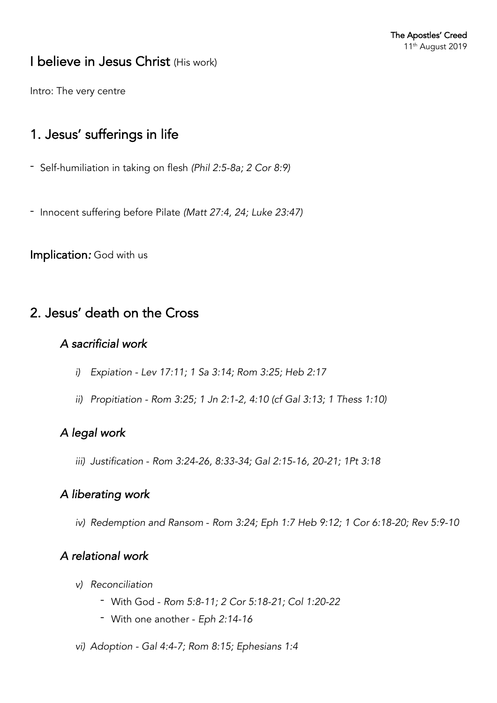# I believe in Jesus Christ (His work)

Intro: The very centre

# 1. Jesus' sufferings in life

- Self-humiliation in taking on flesh *(Phil 2:5-8a; 2 Cor 8:9)*
- Innocent suffering before Pilate *(Matt 27:4, 24; Luke 23:47)*

Implication*:* God with us

## 2. Jesus' death on the Cross

### *A sacrificial work*

- *i) Expiation - Lev 17:11; 1 Sa 3:14; Rom 3:25; Heb 2:17*
- *ii) Propitiation - Rom 3:25; 1 Jn 2:1-2, 4:10 (cf Gal 3:13; 1 Thess 1:10)*

### *A legal work*

*iii) Justification* - *Rom 3:24-26, 8:33-34; Gal 2:15-16, 20-21; 1Pt 3:18*

### *A liberating work*

*iv) Redemption and Ransom* - *Rom 3:24; Eph 1:7 Heb 9:12; 1 Cor 6:18-20; Rev 5:9-10*

## *A relational work*

- *v) Reconciliation*
	- With God *Rom 5:8-11; 2 Cor 5:18-21; Col 1:20-22*
	- With one another *Eph 2:14-16*
- *vi) Adoption - Gal 4:4-7; Rom 8:15; Ephesians 1:4*